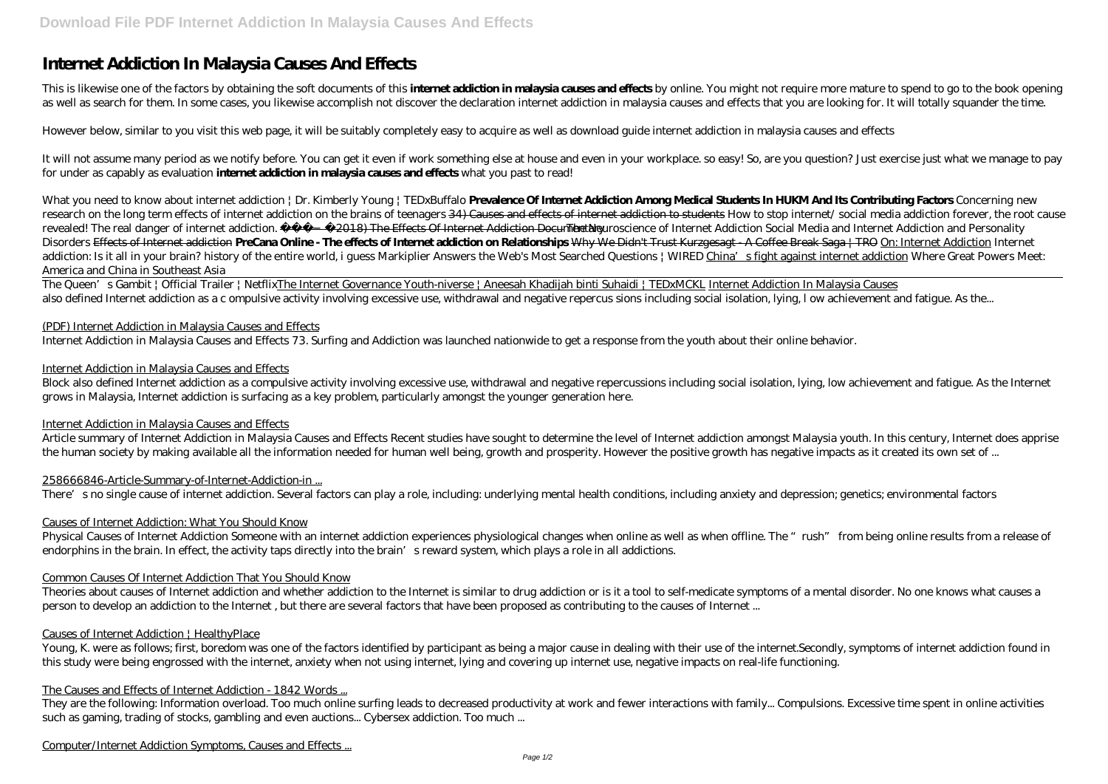This is likewise one of the factors by obtaining the soft documents of this **internet addiction in malaysia causes and effects** by online. You might not require more mature to spend to go to the book opening as well as search for them. In some cases, you likewise accomplish not discover the declaration internet addiction in malaysia causes and effects that you are looking for. It will totally squander the time.

# **Internet Addiction In Malaysia Causes And Effects**

However below, similar to you visit this web page, it will be suitably completely easy to acquire as well as download guide internet addiction in malaysia causes and effects

It will not assume many period as we notify before. You can get it even if work something else at house and even in your workplace. so easy! So, are you question? Just exercise just what we manage to pay for under as capably as evaluation **internet addiction in malaysia causes and effects** what you past to read!

*What you need to know about internet addiction | Dr. Kimberly Young | TEDxBuffalo* **Prevalence Of Internet Addiction Among Medical Students In HUKM And Its Contributing Factors** *Concerning new research on the long term effects of internet addiction on the brains of teenagers* 34) Causes and effects of internet addiction to students *How to stop internet/ social media addiction forever, the root cause revealed!* The real danger of internet addiction. (2018) The Effects Of Internet Addiction Documentary*The Neuroscience of Internet Addiction Social Media and Internet Addiction and Personality Disorders* Effects of Internet addiction **PreCana Online - The effects of Internet addiction on Relationships** Why We Didn't Trust Kurzgesagt - A Coffee Break Saga | TRO On: Internet Addiction Internet addiction: Is it all in your brain? history of the entire world, i guess Markiplier Answers the Web's Most Searched Questions | WIRED China's fight against internet addiction *Where Great Powers Meet: America and China in Southeast Asia*

The Queen's Gambit | Official Trailer | NetflixThe Internet Governance Youth-niverse | Aneesah Khadijah binti Suhaidi | TEDxMCKL Internet Addiction In Malaysia Causes also defined Internet addiction as a c ompulsive activity involving excessive use, withdrawal and negative repercus sions including social isolation, lying, I ow achievement and fatigue. As the...

### (PDF) Internet Addiction in Malaysia Causes and Effects

Internet Addiction in Malaysia Causes and Effects 73. Surfing and Addiction was launched nationwide to get a response from the youth about their online behavior.

They are the following: Information overload. Too much online surfing leads to decreased productivity at work and fewer interactions with family... Compulsions. Excessive time spent in online activities such as gaming, trading of stocks, gambling and even auctions... Cybersex addiction. Too much ...

### Internet Addiction in Malaysia Causes and Effects

Block also defined Internet addiction as a compulsive activity involving excessive use, withdrawal and negative repercussions including social isolation, lying, low achievement and fatigue. As the Internet grows in Malaysia, Internet addiction is surfacing as a key problem, particularly amongst the younger generation here.

### Internet Addiction in Malaysia Causes and Effects

Article summary of Internet Addiction in Malaysia Causes and Effects Recent studies have sought to determine the level of Internet addiction amongst Malaysia youth. In this century, Internet does apprise the human society by making available all the information needed for human well being, growth and prosperity. However the positive growth has negative impacts as it created its own set of ...

# 258666846-Article-Summary-of-Internet-Addiction-in ...

There's no single cause of internet addiction. Several factors can play a role, including: underlying mental health conditions, including anxiety and depression; genetics; environmental factors

# Causes of Internet Addiction: What You Should Know

Physical Causes of Internet Addiction Someone with an internet addiction experiences physiological changes when online as well as when offline. The "rush" from being online results from a release of endorphins in the brain. In effect, the activity taps directly into the brain's reward system, which plays a role in all addictions.

### Common Causes Of Internet Addiction That You Should Know

Theories about causes of Internet addiction and whether addiction to the Internet is similar to drug addiction or is it a tool to self-medicate symptoms of a mental disorder. No one knows what causes a person to develop an addiction to the Internet , but there are several factors that have been proposed as contributing to the causes of Internet ...

### Causes of Internet Addiction | HealthyPlace

Young, K. were as follows; first, boredom was one of the factors identified by participant as being a major cause in dealing with their use of the internet.Secondly, symptoms of internet addiction found in this study were being engrossed with the internet, anxiety when not using internet, lying and covering up internet use, negative impacts on real-life functioning.

# The Causes and Effects of Internet Addiction - 1842 Words ...

Computer/Internet Addiction Symptoms, Causes and Effects ...